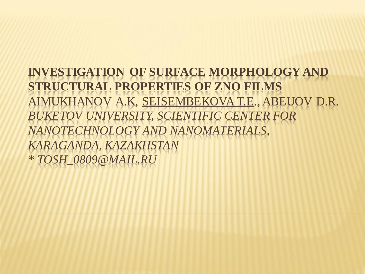**INVESTIGATION OF SURFACE MORPHOLOGY AND STRUCTURAL PROPERTIES OF ZNO FILMS** AIMUKHANOV A.K, SEISEMBEKOVA T.E., ABEUOV D.R. *BUKETOV UNIVERSITY, SCIENTIFIC CENTER FOR NANOTECHNOLOGY AND NANOMATERIALS, KARAGANDA, KAZAKHSTAN \* TOSH\_0809@MAIL.RU*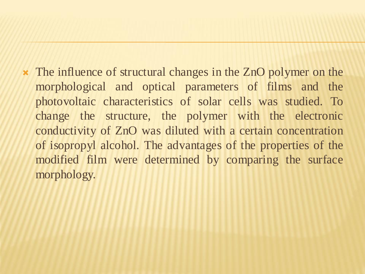The influence of structural changes in the ZnO polymer on the morphological and optical parameters of films and the photovoltaic characteristics of solar cells was studied. To change the structure, the polymer with the electronic conductivity of ZnO was diluted with a certain concentration of isopropyl alcohol. The advantages of the properties of the modified film were determined by comparing the surface morphology.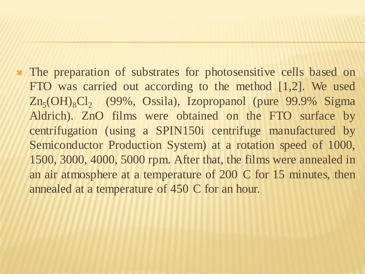The preparation of substrates for photosensitive cells based on FTO was carried out according to the method [1,2]. We used Zn<sub>5</sub>(OH)<sub>8</sub>Cl<sub>2</sub> (99%, Ossila), Izopropanol (pure 99.9% Sigma Aldrich). ZnO films were obtained on the FTO surface by centrifugation (using a SPIN150i centrifuge manufactured by Semiconductor Production System) at a rotation speed of 1000, 1500, 3000, 4000, 5000 rpm. After that, the films were annealed in an air atmosphere at a temperature of 200 C for 15 minutes, then annealed at a temperature of 450 C for an hour.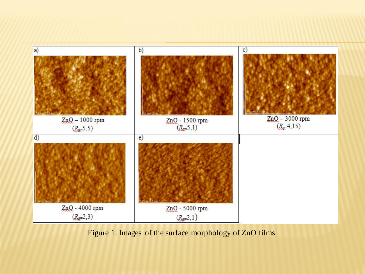

Figure 1. Images of the surface morphology of ZnO films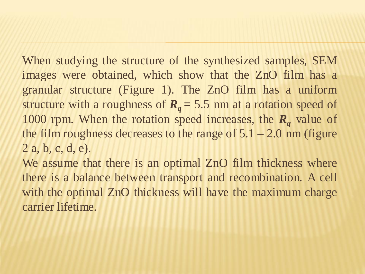When studying the structure of the synthesized samples, SEM images were obtained, which show that the ZnO film has a granular structure (Figure 1). The ZnO film has a uniform structure with a roughness of  $R_q = 5.5$  nm at a rotation speed of 1000 rpm. When the rotation speed increases, the *R<sup>q</sup>* value of the film roughness decreases to the range of  $5.1 - 2.0$  nm (figure 2 a, b, c, d, e).

We assume that there is an optimal ZnO film thickness where there is a balance between transport and recombination. A cell with the optimal ZnO thickness will have the maximum charge carrier lifetime.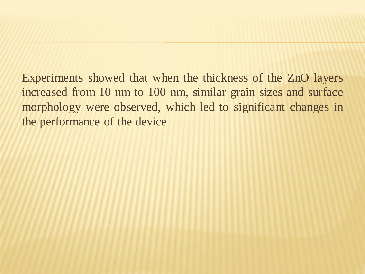Experiments showed that when the thickness of the ZnO layers increased from 10 nm to 100 nm, similar grain sizes and surface morphology were observed, which led to significant changes in the performance of the device